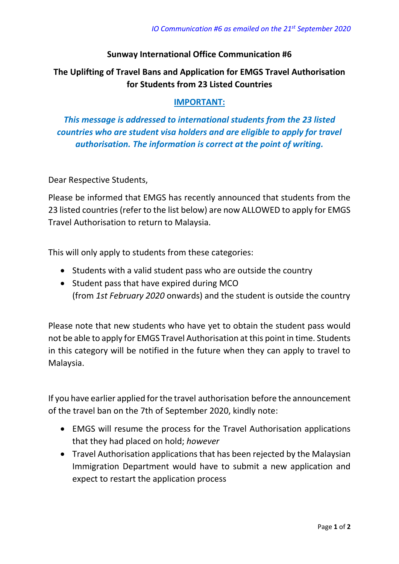## **Sunway International Office Communication #6**

## **The Uplifting of Travel Bans and Application for EMGS Travel Authorisation for Students from 23 Listed Countries**

## **IMPORTANT:**

*This message is addressed to international students from the 23 listed countries who are student visa holders and are eligible to apply for travel authorisation. The information is correct at the point of writing.*

Dear Respective Students,

Please be informed that EMGS has recently announced that students from the 23 listed countries (refer to the list below) are now ALLOWED to apply for EMGS Travel Authorisation to return to Malaysia.

This will only apply to students from these categories:

- Students with a valid student pass who are outside the country
- Student pass that have expired during MCO (from *1st February 2020* onwards) and the student is outside the country

Please note that new students who have yet to obtain the student pass would not be able to apply for EMGS Travel Authorisation at this point in time. Students in this category will be notified in the future when they can apply to travel to Malaysia.

If you have earlier applied for the travel authorisation before the announcement of the travel ban on the 7th of September 2020, kindly note:

- EMGS will resume the process for the Travel Authorisation applications that they had placed on hold; *however*
- Travel Authorisation applications that has been rejected by the Malaysian Immigration Department would have to submit a new application and expect to restart the application process